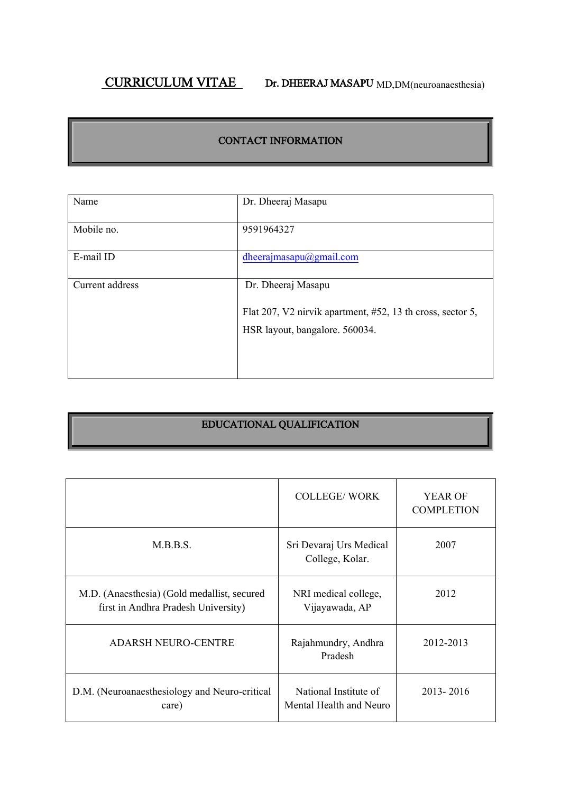# CURRICULUM VITAE Dr. DHEERAJ MASAPU MD,DM(neuroanaesthesia)

### CONTACT INFORMATION

| Name            | Dr. Dheeraj Masapu                                                               |  |
|-----------------|----------------------------------------------------------------------------------|--|
| Mobile no.      | 9591964327                                                                       |  |
| E-mail ID       | dheerajmasapu@gmail.com                                                          |  |
| Current address | Dr. Dheeraj Masapu<br>Flat 207, V2 nirvik apartment, #52, 13 th cross, sector 5, |  |
|                 | HSR layout, bangalore. 560034.                                                   |  |

## EDUCATIONAL QUALIFICATION

|                                                                                    | <b>COLLEGE/WORK</b>                              | <b>YEAR OF</b><br><b>COMPLETION</b> |
|------------------------------------------------------------------------------------|--------------------------------------------------|-------------------------------------|
| M.B.B.S.                                                                           | Sri Devaraj Urs Medical<br>College, Kolar.       | 2007                                |
| M.D. (Anaesthesia) (Gold medallist, secured<br>first in Andhra Pradesh University) | NRI medical college,<br>Vijayawada, AP           | 2012                                |
| <b>ADARSH NEURO-CENTRE</b>                                                         | Rajahmundry, Andhra<br>Pradesh                   | 2012-2013                           |
| D.M. (Neuroanaesthesiology and Neuro-critical<br>care)                             | National Institute of<br>Mental Health and Neuro | 2013-2016                           |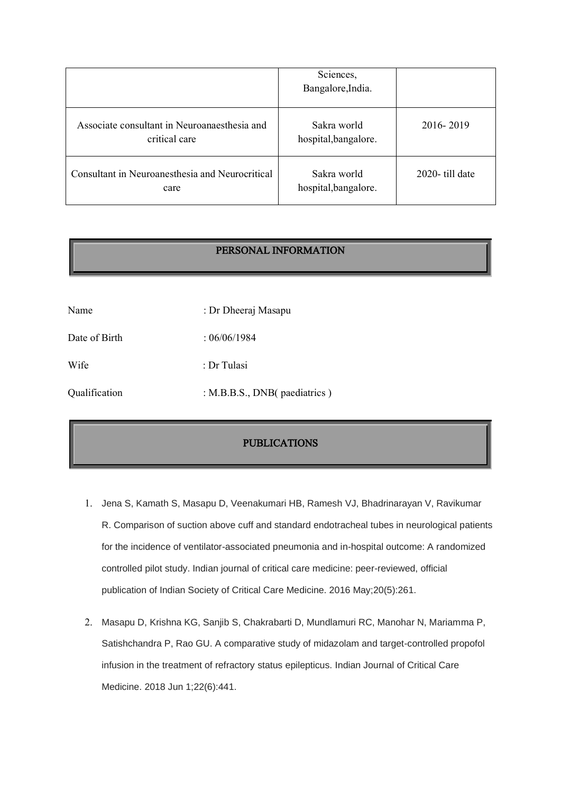|                                                               | Sciences,<br>Bangalore, India.      |                |
|---------------------------------------------------------------|-------------------------------------|----------------|
| Associate consultant in Neuroanaesthesia and<br>critical care | Sakra world<br>hospital, bangalore. | 2016-2019      |
| Consultant in Neuroanesthesia and Neurocritical<br>care       | Sakra world<br>hospital, bangalore. | 2020-till date |

#### PERSONAL INFORMATION

| Name          | : Dr Dheeraj Masapu          |  |
|---------------|------------------------------|--|
| Date of Birth | :06/06/1984                  |  |
| Wife          | : Dr Tulasi                  |  |
| Qualification | : M.B.B.S., DNB(paediatrics) |  |

### PUBLICATIONS

- 1. Jena S, Kamath S, Masapu D, Veenakumari HB, Ramesh VJ, Bhadrinarayan V, Ravikumar R. Comparison of suction above cuff and standard endotracheal tubes in neurological patients for the incidence of ventilator-associated pneumonia and in-hospital outcome: A randomized controlled pilot study. Indian journal of critical care medicine: peer-reviewed, official publication of Indian Society of Critical Care Medicine. 2016 May;20(5):261.
- 2. Masapu D, Krishna KG, Sanjib S, Chakrabarti D, Mundlamuri RC, Manohar N, Mariamma P, Satishchandra P, Rao GU. A comparative study of midazolam and target-controlled propofol infusion in the treatment of refractory status epilepticus. Indian Journal of Critical Care Medicine. 2018 Jun 1;22(6):441.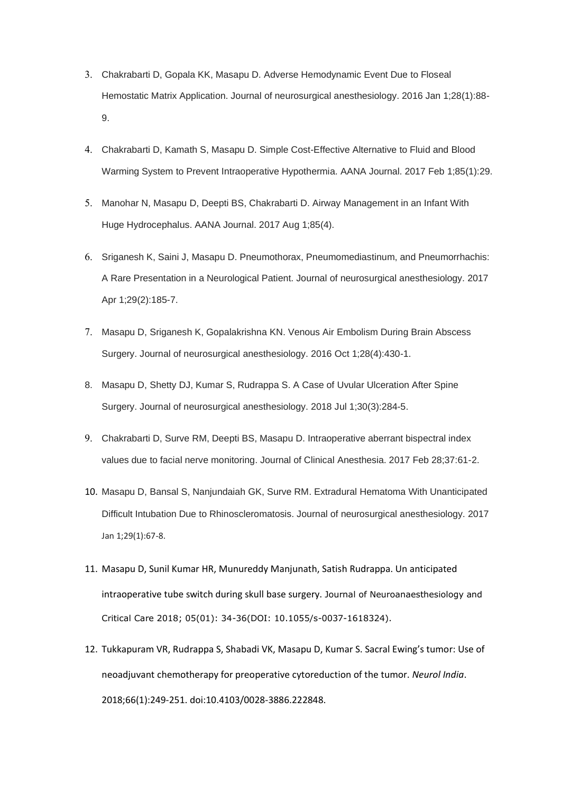- 3. Chakrabarti D, Gopala KK, Masapu D. Adverse Hemodynamic Event Due to Floseal Hemostatic Matrix Application. Journal of neurosurgical anesthesiology. 2016 Jan 1;28(1):88- 9.
- 4. Chakrabarti D, Kamath S, Masapu D. Simple Cost-Effective Alternative to Fluid and Blood Warming System to Prevent Intraoperative Hypothermia. AANA Journal. 2017 Feb 1;85(1):29.
- 5. Manohar N, Masapu D, Deepti BS, Chakrabarti D. Airway Management in an Infant With Huge Hydrocephalus. AANA Journal. 2017 Aug 1;85(4).
- 6. Sriganesh K, Saini J, Masapu D. Pneumothorax, Pneumomediastinum, and Pneumorrhachis: A Rare Presentation in a Neurological Patient. Journal of neurosurgical anesthesiology. 2017 Apr 1;29(2):185-7.
- 7. Masapu D, Sriganesh K, Gopalakrishna KN. Venous Air Embolism During Brain Abscess Surgery. Journal of neurosurgical anesthesiology. 2016 Oct 1;28(4):430-1.
- 8. Masapu D, Shetty DJ, Kumar S, Rudrappa S. A Case of Uvular Ulceration After Spine Surgery. Journal of neurosurgical anesthesiology. 2018 Jul 1;30(3):284-5.
- 9. Chakrabarti D, Surve RM, Deepti BS, Masapu D. Intraoperative aberrant bispectral index values due to facial nerve monitoring. Journal of Clinical Anesthesia. 2017 Feb 28;37:61-2.
- 10. Masapu D, Bansal S, Nanjundaiah GK, Surve RM. Extradural Hematoma With Unanticipated Difficult Intubation Due to Rhinoscleromatosis. Journal of neurosurgical anesthesiology. 2017 Jan 1;29(1):67-8.
- 11. Masapu D, Sunil Kumar HR, Munureddy Manjunath, Satish Rudrappa. Un anticipated intraoperative tube switch during skull base surgery. Journal of Neuroanaesthesiology and Critical Care 2018; 05(01): 34-36(DOI: 10.1055/s-0037-1618324).
- 12. Tukkapuram VR, Rudrappa S, Shabadi VK, Masapu D, Kumar S. Sacral Ewing's tumor: Use of neoadjuvant chemotherapy for preoperative cytoreduction of the tumor. *Neurol India*. 2018;66(1):249-251. doi:10.4103/0028-3886.222848.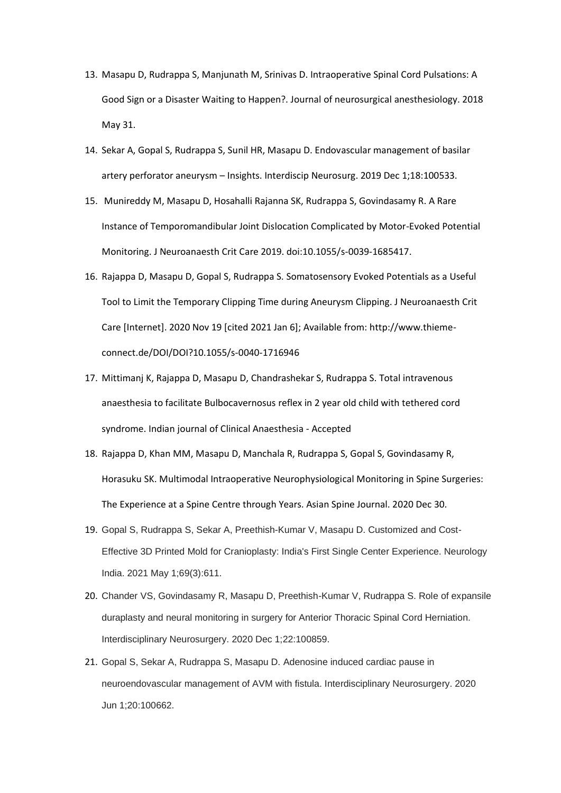- 13. Masapu D, Rudrappa S, Manjunath M, Srinivas D. Intraoperative Spinal Cord Pulsations: A Good Sign or a Disaster Waiting to Happen?. Journal of neurosurgical anesthesiology. 2018 May 31.
- 14. Sekar A, Gopal S, Rudrappa S, Sunil HR, Masapu D. Endovascular management of basilar artery perforator aneurysm – Insights. Interdiscip Neurosurg. 2019 Dec 1;18:100533.
- 15. Munireddy M, Masapu D, Hosahalli Rajanna SK, Rudrappa S, Govindasamy R. A Rare Instance of Temporomandibular Joint Dislocation Complicated by Motor-Evoked Potential Monitoring. J Neuroanaesth Crit Care 2019. doi:10.1055/s-0039-1685417.
- 16. Rajappa D, Masapu D, Gopal S, Rudrappa S. Somatosensory Evoked Potentials as a Useful Tool to Limit the Temporary Clipping Time during Aneurysm Clipping. J Neuroanaesth Crit Care [Internet]. 2020 Nov 19 [cited 2021 Jan 6]; Available from: http://www.thiemeconnect.de/DOI/DOI?10.1055/s-0040-1716946
- 17. Mittimanj K, Rajappa D, Masapu D, Chandrashekar S, Rudrappa S. Total intravenous anaesthesia to facilitate Bulbocavernosus reflex in 2 year old child with tethered cord syndrome. Indian journal of Clinical Anaesthesia - Accepted
- 18. Rajappa D, Khan MM, Masapu D, Manchala R, Rudrappa S, Gopal S, Govindasamy R, Horasuku SK. Multimodal Intraoperative Neurophysiological Monitoring in Spine Surgeries: The Experience at a Spine Centre through Years. Asian Spine Journal. 2020 Dec 30.
- 19. Gopal S, Rudrappa S, Sekar A, Preethish-Kumar V, Masapu D. Customized and Cost-Effective 3D Printed Mold for Cranioplasty: India's First Single Center Experience. Neurology India. 2021 May 1;69(3):611.
- 20. Chander VS, Govindasamy R, Masapu D, Preethish-Kumar V, Rudrappa S. Role of expansile duraplasty and neural monitoring in surgery for Anterior Thoracic Spinal Cord Herniation. Interdisciplinary Neurosurgery. 2020 Dec 1;22:100859.
- 21. Gopal S, Sekar A, Rudrappa S, Masapu D. Adenosine induced cardiac pause in neuroendovascular management of AVM with fistula. Interdisciplinary Neurosurgery. 2020 Jun 1;20:100662.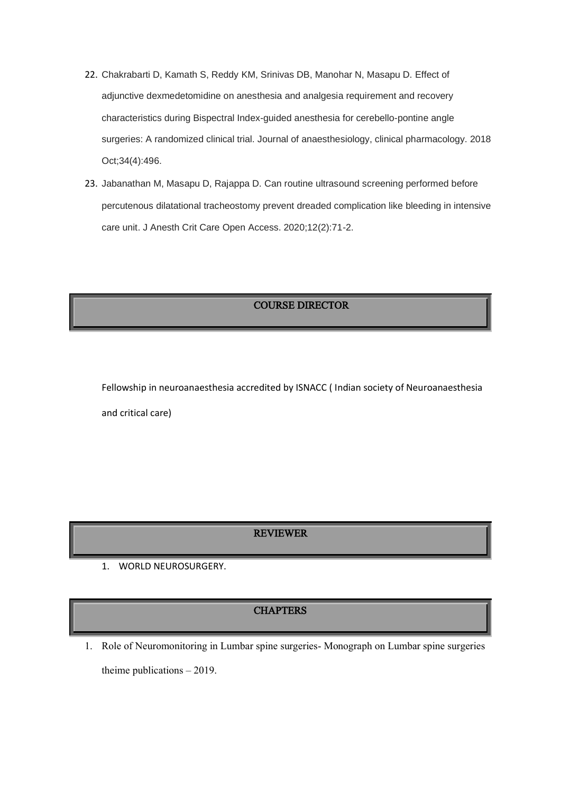- 22. Chakrabarti D, Kamath S, Reddy KM, Srinivas DB, Manohar N, Masapu D. Effect of adjunctive dexmedetomidine on anesthesia and analgesia requirement and recovery characteristics during Bispectral Index-guided anesthesia for cerebello-pontine angle surgeries: A randomized clinical trial. Journal of anaesthesiology, clinical pharmacology. 2018 Oct;34(4):496.
- 23. Jabanathan M, Masapu D, Rajappa D. Can routine ultrasound screening performed before percutenous dilatational tracheostomy prevent dreaded complication like bleeding in intensive care unit. J Anesth Crit Care Open Access. 2020;12(2):71-2.

COURSE DIRECTOR

Fellowship in neuroanaesthesia accredited by ISNACC ( Indian society of Neuroanaesthesia and critical care)

#### REVIEWER

1. WORLD NEUROSURGERY.

#### **CHAPTERS**

1. Role of Neuromonitoring in Lumbar spine surgeries- Monograph on Lumbar spine surgeries theime publications – 2019.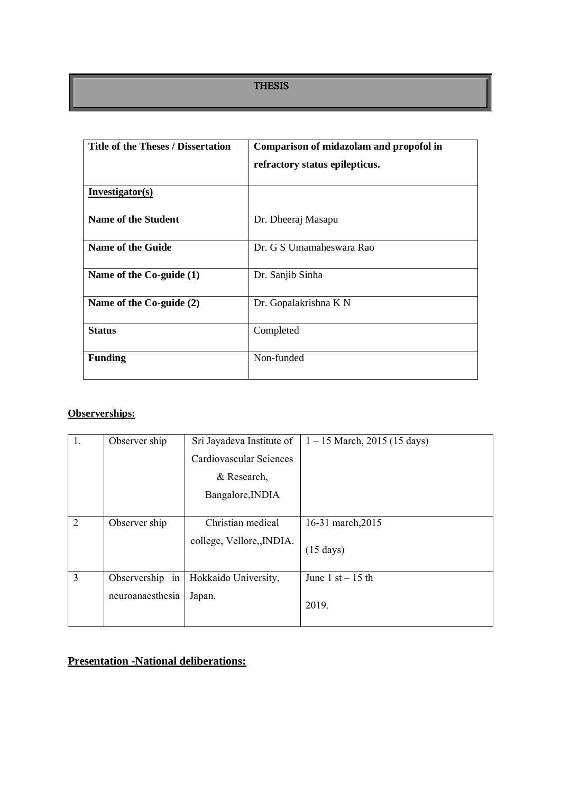#### THESIS

| <b>Title of the Theses / Dissertation</b> | Comparison of midazolam and propofol in |
|-------------------------------------------|-----------------------------------------|
|                                           | refractory status epilepticus.          |
| Investigator(s)                           |                                         |
| <b>Name of the Student</b>                | Dr. Dheeraj Masapu                      |
| Name of the Guide                         | Dr. G S Umamaheswara Rao                |
| Name of the Co-guide (1)                  | Dr. Sanjib Sinha                        |
| Name of the Co-guide (2)                  | Dr. Gopalakrishna K N                   |
| <b>Status</b>                             | Completed                               |
| <b>Funding</b>                            | Non-funded                              |

## **Observerships:**

| 1.             | Observer ship    | Sri Jayadeva Institute of | $1 - 15$ March, 2015 (15 days) |
|----------------|------------------|---------------------------|--------------------------------|
|                |                  | Cardiovascular Sciences   |                                |
|                |                  | & Research,               |                                |
|                |                  | Bangalore, INDIA          |                                |
|                |                  |                           |                                |
| 2              | Observer ship    | Christian medical         | 16-31 march, 2015              |
|                |                  | college, Vellore,, INDIA. | $(15 \text{ days})$            |
| $\overline{3}$ | Observership in  | Hokkaido University,      | June $1$ st $-15$ th           |
|                | neuroanaesthesia | Japan.                    | 2019.                          |

## **Presentation -National deliberations:**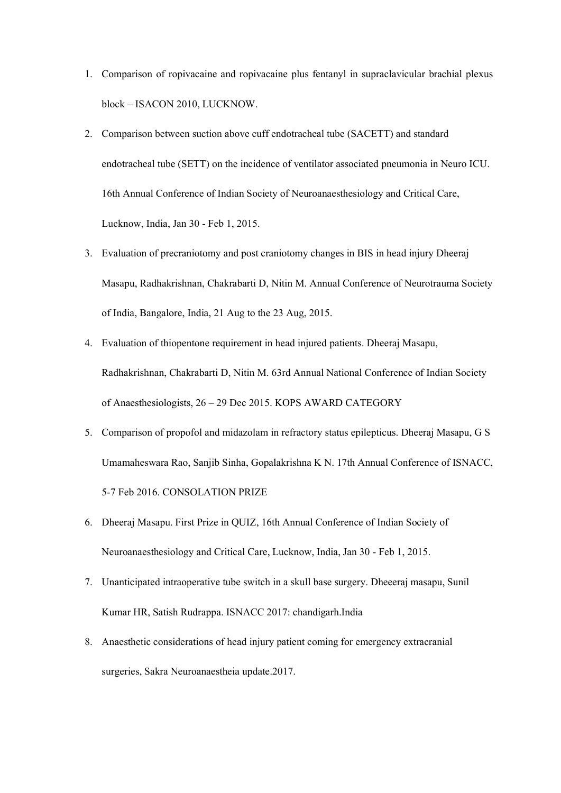- 1. Comparison of ropivacaine and ropivacaine plus fentanyl in supraclavicular brachial plexus block – ISACON 2010, LUCKNOW.
- 2. Comparison between suction above cuff endotracheal tube (SACETT) and standard endotracheal tube (SETT) on the incidence of ventilator associated pneumonia in Neuro ICU. 16th Annual Conference of Indian Society of Neuroanaesthesiology and Critical Care, Lucknow, India, Jan 30 - Feb 1, 2015.
- 3. Evaluation of precraniotomy and post craniotomy changes in BIS in head injury Dheeraj Masapu, Radhakrishnan, Chakrabarti D, Nitin M. Annual Conference of Neurotrauma Society of India, Bangalore, India, 21 Aug to the 23 Aug, 2015.
- 4. Evaluation of thiopentone requirement in head injured patients. Dheeraj Masapu, Radhakrishnan, Chakrabarti D, Nitin M. 63rd Annual National Conference of Indian Society of Anaesthesiologists, 26 – 29 Dec 2015. KOPS AWARD CATEGORY
- 5. Comparison of propofol and midazolam in refractory status epilepticus. Dheeraj Masapu, G S Umamaheswara Rao, Sanjib Sinha, Gopalakrishna K N. 17th Annual Conference of ISNACC, 5-7 Feb 2016. CONSOLATION PRIZE
- 6. Dheeraj Masapu. First Prize in QUIZ, 16th Annual Conference of Indian Society of Neuroanaesthesiology and Critical Care, Lucknow, India, Jan 30 - Feb 1, 2015.
- 7. Unanticipated intraoperative tube switch in a skull base surgery. Dheeeraj masapu, Sunil Kumar HR, Satish Rudrappa. ISNACC 2017: chandigarh.India
- 8. Anaesthetic considerations of head injury patient coming for emergency extracranial surgeries, Sakra Neuroanaestheia update.2017.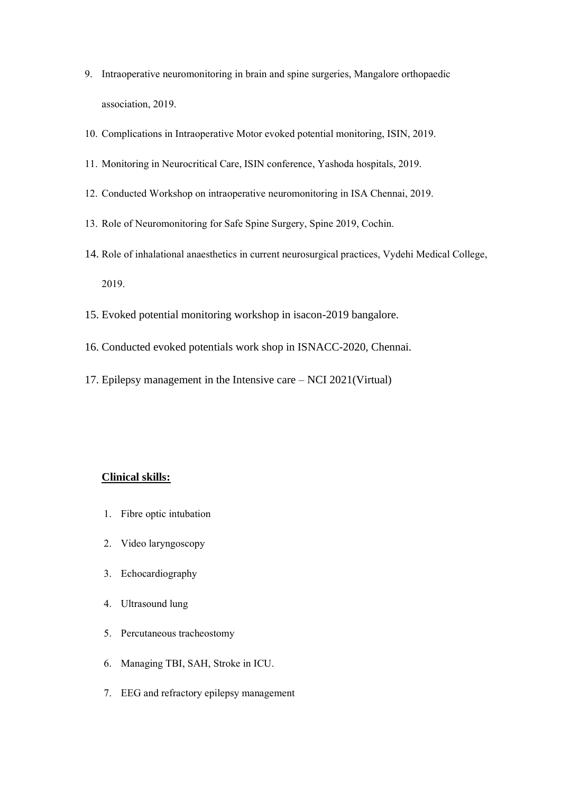- 9. Intraoperative neuromonitoring in brain and spine surgeries, Mangalore orthopaedic association, 2019.
- 10. Complications in Intraoperative Motor evoked potential monitoring, ISIN, 2019.
- 11. Monitoring in Neurocritical Care, ISIN conference, Yashoda hospitals, 2019.
- 12. Conducted Workshop on intraoperative neuromonitoring in ISA Chennai, 2019.
- 13. Role of Neuromonitoring for Safe Spine Surgery, Spine 2019, Cochin.
- 14. Role of inhalational anaesthetics in current neurosurgical practices, Vydehi Medical College, 2019.
- 15. Evoked potential monitoring workshop in isacon-2019 bangalore.
- 16. Conducted evoked potentials work shop in ISNACC-2020, Chennai.
- 17. Epilepsy management in the Intensive care NCI 2021(Virtual)

#### **Clinical skills:**

- 1. Fibre optic intubation
- 2. Video laryngoscopy
- 3. Echocardiography
- 4. Ultrasound lung
- 5. Percutaneous tracheostomy
- 6. Managing TBI, SAH, Stroke in ICU.
- 7. EEG and refractory epilepsy management